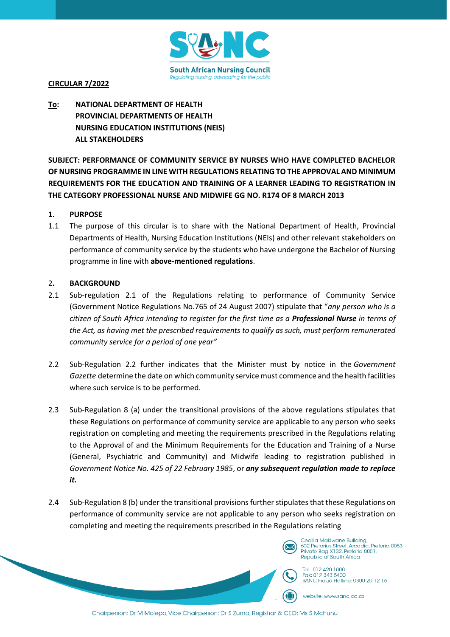

# **CIRCULAR 7/2022**

# **To: NATIONAL DEPARTMENT OF HEALTH PROVINCIAL DEPARTMENTS OF HEALTH NURSING EDUCATION INSTITUTIONS (NEIS) ALL STAKEHOLDERS**

**SUBJECT: PERFORMANCE OF COMMUNITY SERVICE BY NURSES WHO HAVE COMPLETED BACHELOR OF NURSING PROGRAMME IN LINE WITH REGULATIONS RELATING TO THE APPROVAL AND MINIMUM REQUIREMENTS FOR THE EDUCATION AND TRAINING OF A LEARNER LEADING TO REGISTRATION IN THE CATEGORY PROFESSIONAL NURSE AND MIDWIFE GG NO. R174 OF 8 MARCH 2013**

# **1. PURPOSE**

1.1 The purpose of this circular is to share with the National Department of Health, Provincial Departments of Health, Nursing Education Institutions (NEIs) and other relevant stakeholders on performance of community service by the students who have undergone the Bachelor of Nursing programme in line with **above-mentioned regulations**.

# 2**. BACKGROUND**

- 2.1 Sub-regulation 2.1 of the Regulations relating to performance of Community Service (Government Notice Regulations No.765 of 24 August 2007) stipulate that "*any person who is a citizen of South Africa intending to register for the first time as a Professional Nurse in terms of the Act, as having met the prescribed requirements to qualify as such, must perform remunerated community service for a period of one year"*
- 2.2 Sub-Regulation 2.2 further indicates that the Minister must by notice in the *Government Gazette* determine the date on which community service must commence and the health facilities where such service is to be performed.
- 2.3 Sub-Regulation 8 (a) under the transitional provisions of the above regulations stipulates that these Regulations on performance of community service are applicable to any person who seeks registration on completing and meeting the requirements prescribed in the Regulations relating to the Approval of and the Minimum Requirements for the Education and Training of a Nurse (General, Psychiatric and Community) and Midwife leading to registration published in *Government Notice No. 425 of 22 February 1985*, or *any subsequent regulation made to replace it.*
- 2.4 Sub-Regulation 8 (b) under the transitional provisions further stipulates that these Regulations on performance of community service are not applicable to any person who seeks registration on completing and meeting the requirements prescribed in the Regulations relating



 $\bigoplus$ 

Private Bag X132, Pretoria 0001, Republic of South Africa Tel: 012 420 1000

Fax: 012 343 5400 SANC Fraud Hoffine: 0800 20 12 16

website: www.sanc.co.za

Chairperson: Dr M Molepo, Vice Chairperson: Dr S Zuma, Registrar & CEO: Ms S Mchunu